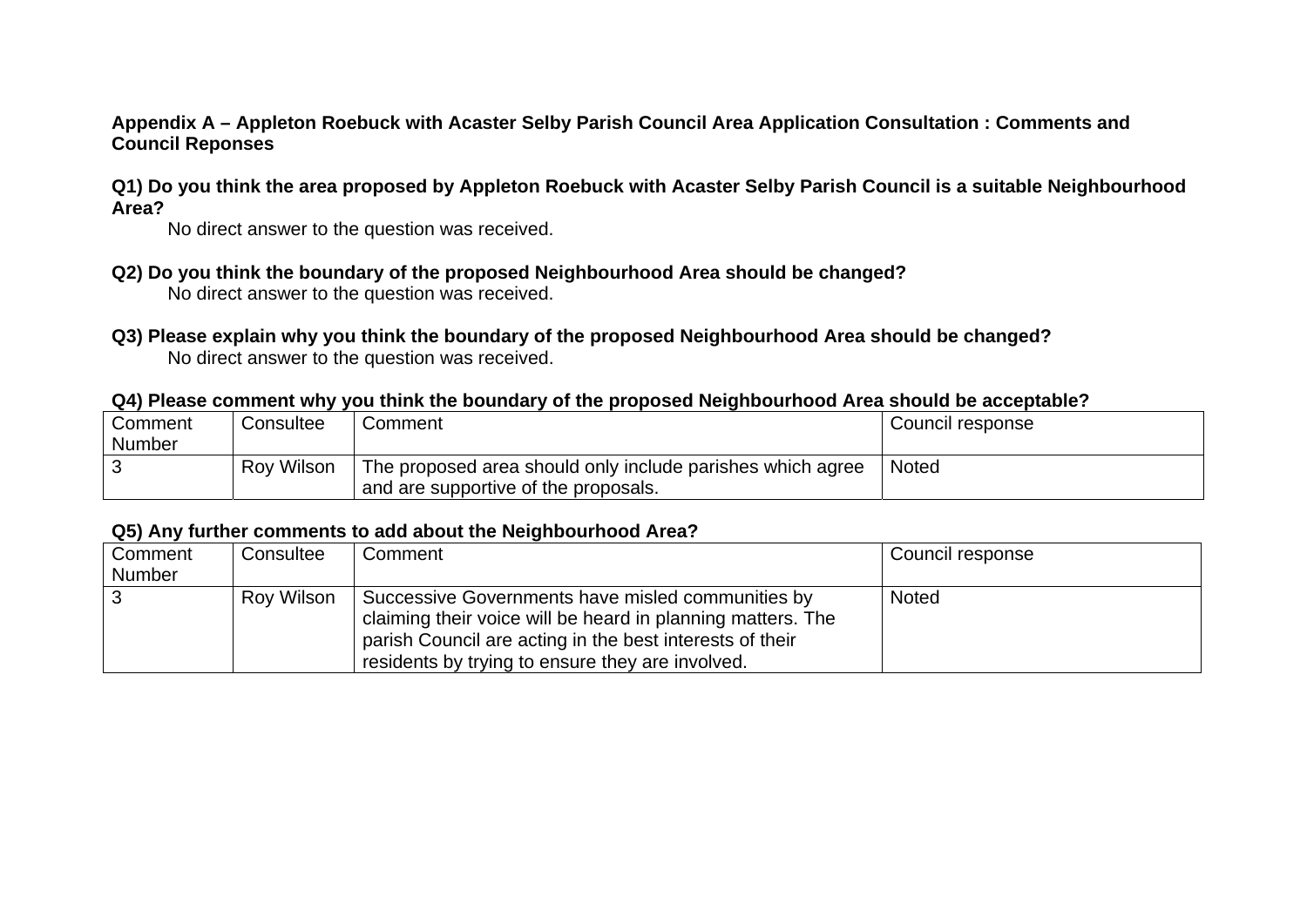## **Appendix A – Appleton Roebuck with Acaster Selby Parish Council Area Application Consultation : Comments and Council Reponses**

## **Q1) Do you think the area proposed by Appleton Roebuck with Acaster Selby Parish Council is a suitable Neighbourhood Area?**

No direct answer to the question was received.

- **Q2) Do you think the boundary of the proposed Neighbourhood Area should be changed?**  No direct answer to the question was received.
- **Q3) Please explain why you think the boundary of the proposed Neighbourhood Area should be changed?**  No direct answer to the question was received.

# **Q4) Please comment why you think the boundary of the proposed Neighbourhood Area should be acceptable?**

| Comment       | Consultee         | Comment                                                    | Council response |
|---------------|-------------------|------------------------------------------------------------|------------------|
| <b>Number</b> |                   |                                                            |                  |
|               | <b>Roy Wilson</b> | The proposed area should only include parishes which agree | <b>Noted</b>     |
|               |                   | and are supportive of the proposals.                       |                  |

### **Q5) Any further comments to add about the Neighbourhood Area?**

| Comment       | Consultee  | Comment                                                     | Council response |
|---------------|------------|-------------------------------------------------------------|------------------|
| <b>Number</b> |            |                                                             |                  |
|               | Roy Wilson | Successive Governments have misled communities by           | <b>Noted</b>     |
|               |            | claiming their voice will be heard in planning matters. The |                  |
|               |            | parish Council are acting in the best interests of their    |                  |
|               |            | residents by trying to ensure they are involved.            |                  |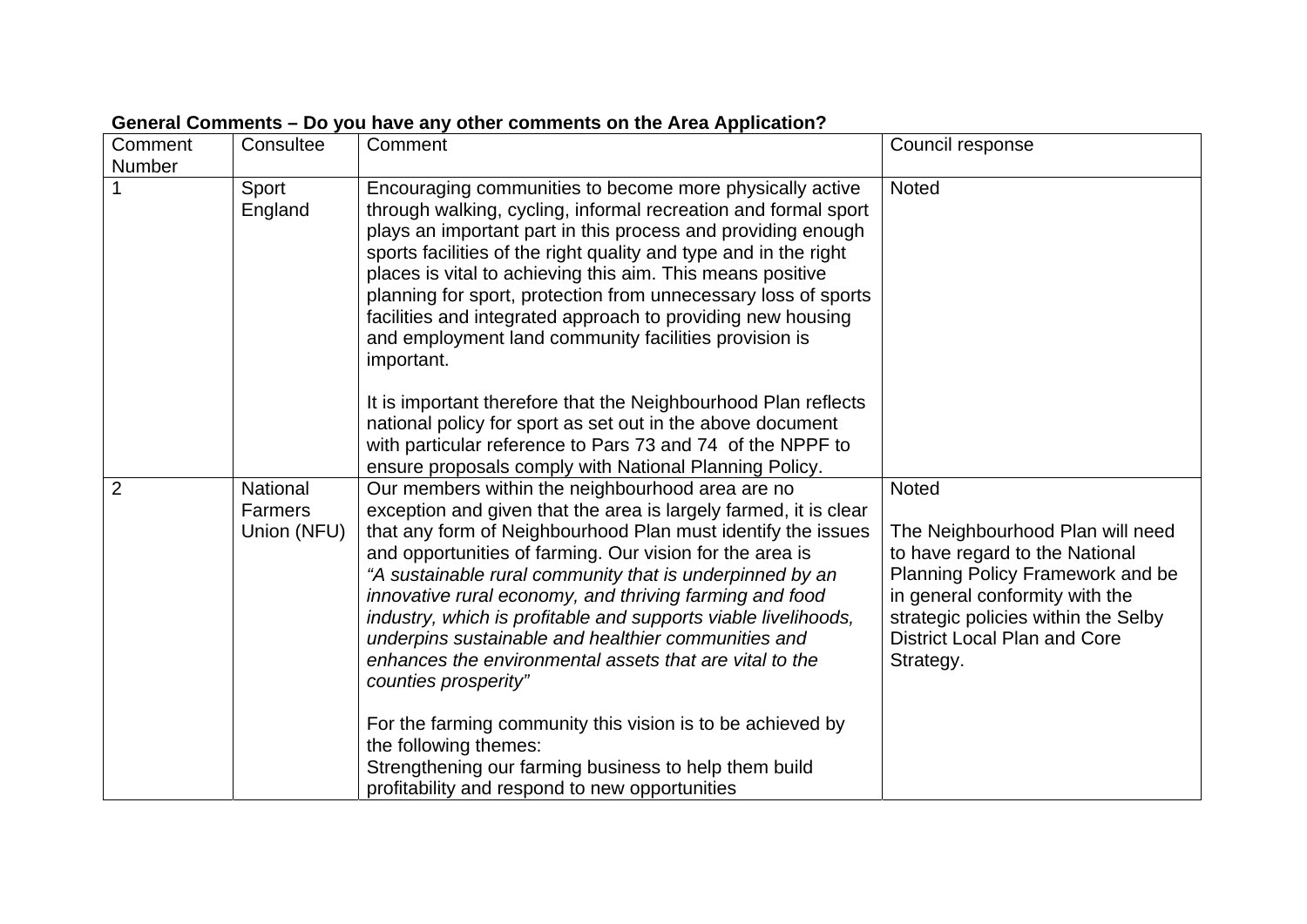| Comment<br><b>Number</b> | Consultee                                 | Comment                                                                                                                                                                                                                                                                                                                                                                                                                                                                                                                                                                                                                                           | Council response                                                                                                                                                                                                                                    |
|--------------------------|-------------------------------------------|---------------------------------------------------------------------------------------------------------------------------------------------------------------------------------------------------------------------------------------------------------------------------------------------------------------------------------------------------------------------------------------------------------------------------------------------------------------------------------------------------------------------------------------------------------------------------------------------------------------------------------------------------|-----------------------------------------------------------------------------------------------------------------------------------------------------------------------------------------------------------------------------------------------------|
|                          | Sport<br>England                          | Encouraging communities to become more physically active<br>through walking, cycling, informal recreation and formal sport<br>plays an important part in this process and providing enough<br>sports facilities of the right quality and type and in the right<br>places is vital to achieving this aim. This means positive<br>planning for sport, protection from unnecessary loss of sports<br>facilities and integrated approach to providing new housing<br>and employment land community facilities provision is<br>important.                                                                                                              | <b>Noted</b>                                                                                                                                                                                                                                        |
|                          |                                           | It is important therefore that the Neighbourhood Plan reflects<br>national policy for sport as set out in the above document<br>with particular reference to Pars 73 and 74 of the NPPF to<br>ensure proposals comply with National Planning Policy.                                                                                                                                                                                                                                                                                                                                                                                              |                                                                                                                                                                                                                                                     |
| $\overline{2}$           | National<br><b>Farmers</b><br>Union (NFU) | Our members within the neighbourhood area are no<br>exception and given that the area is largely farmed, it is clear<br>that any form of Neighbourhood Plan must identify the issues<br>and opportunities of farming. Our vision for the area is<br>"A sustainable rural community that is underpinned by an<br>innovative rural economy, and thriving farming and food<br>industry, which is profitable and supports viable livelihoods,<br>underpins sustainable and healthier communities and<br>enhances the environmental assets that are vital to the<br>counties prosperity"<br>For the farming community this vision is to be achieved by | <b>Noted</b><br>The Neighbourhood Plan will need<br>to have regard to the National<br>Planning Policy Framework and be<br>in general conformity with the<br>strategic policies within the Selby<br><b>District Local Plan and Core</b><br>Strategy. |
|                          |                                           | the following themes:<br>Strengthening our farming business to help them build<br>profitability and respond to new opportunities                                                                                                                                                                                                                                                                                                                                                                                                                                                                                                                  |                                                                                                                                                                                                                                                     |

# **General Comments – Do you have any other comments on the Area Application?**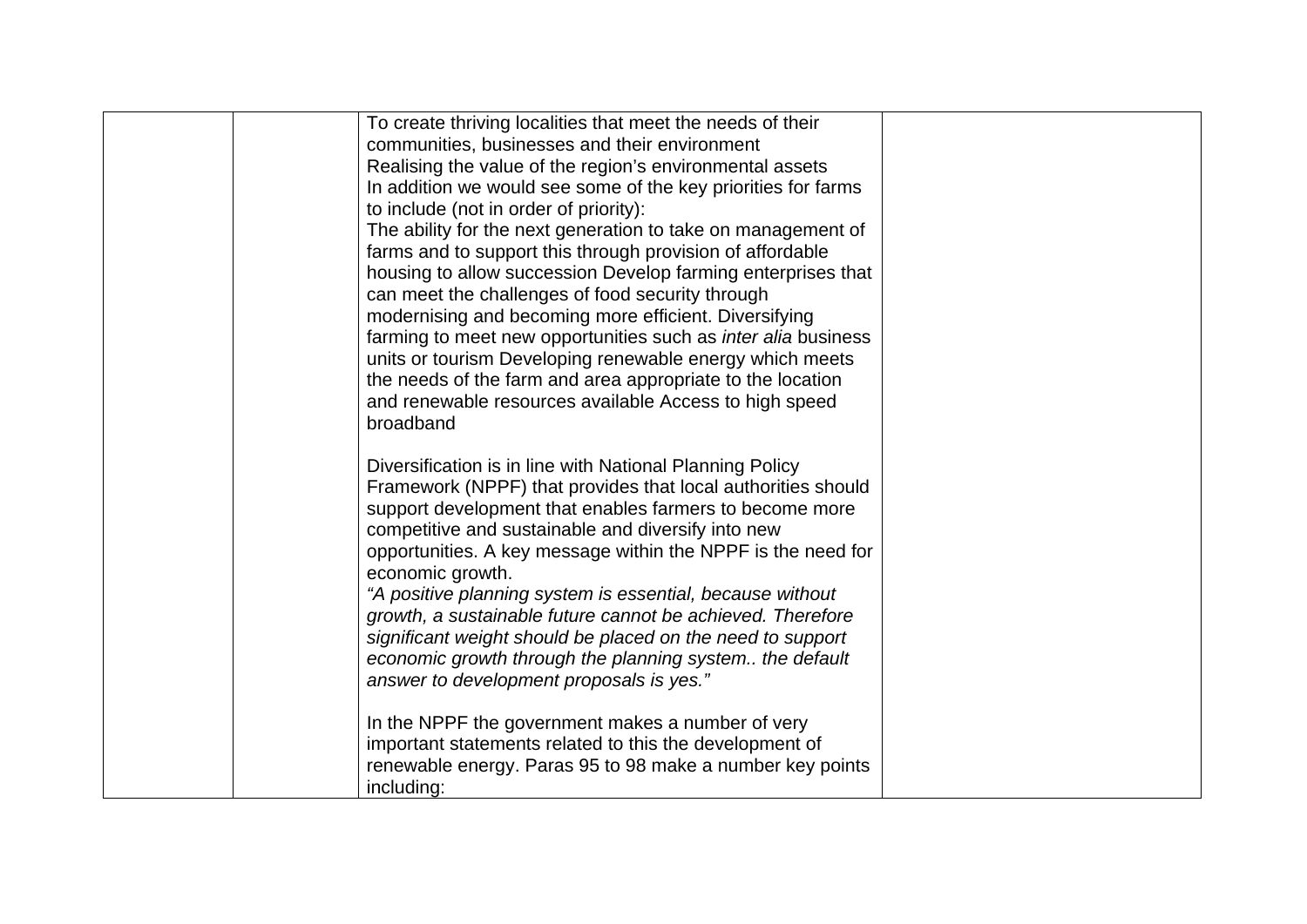| To create thriving localities that meet the needs of their           |  |
|----------------------------------------------------------------------|--|
| communities, businesses and their environment                        |  |
| Realising the value of the region's environmental assets             |  |
| In addition we would see some of the key priorities for farms        |  |
| to include (not in order of priority):                               |  |
| The ability for the next generation to take on management of         |  |
| farms and to support this through provision of affordable            |  |
| housing to allow succession Develop farming enterprises that         |  |
| can meet the challenges of food security through                     |  |
| modernising and becoming more efficient. Diversifying                |  |
| farming to meet new opportunities such as <i>inter alia</i> business |  |
| units or tourism Developing renewable energy which meets             |  |
| the needs of the farm and area appropriate to the location           |  |
| and renewable resources available Access to high speed               |  |
| broadband                                                            |  |
|                                                                      |  |
| Diversification is in line with National Planning Policy             |  |
| Framework (NPPF) that provides that local authorities should         |  |
| support development that enables farmers to become more              |  |
| competitive and sustainable and diversify into new                   |  |
| opportunities. A key message within the NPPF is the need for         |  |
| economic growth.                                                     |  |
| "A positive planning system is essential, because without            |  |
| growth, a sustainable future cannot be achieved. Therefore           |  |
| significant weight should be placed on the need to support           |  |
| economic growth through the planning system the default              |  |
| answer to development proposals is yes."                             |  |
|                                                                      |  |
| In the NPPF the government makes a number of very                    |  |
| important statements related to this the development of              |  |
| renewable energy. Paras 95 to 98 make a number key points            |  |
| including:                                                           |  |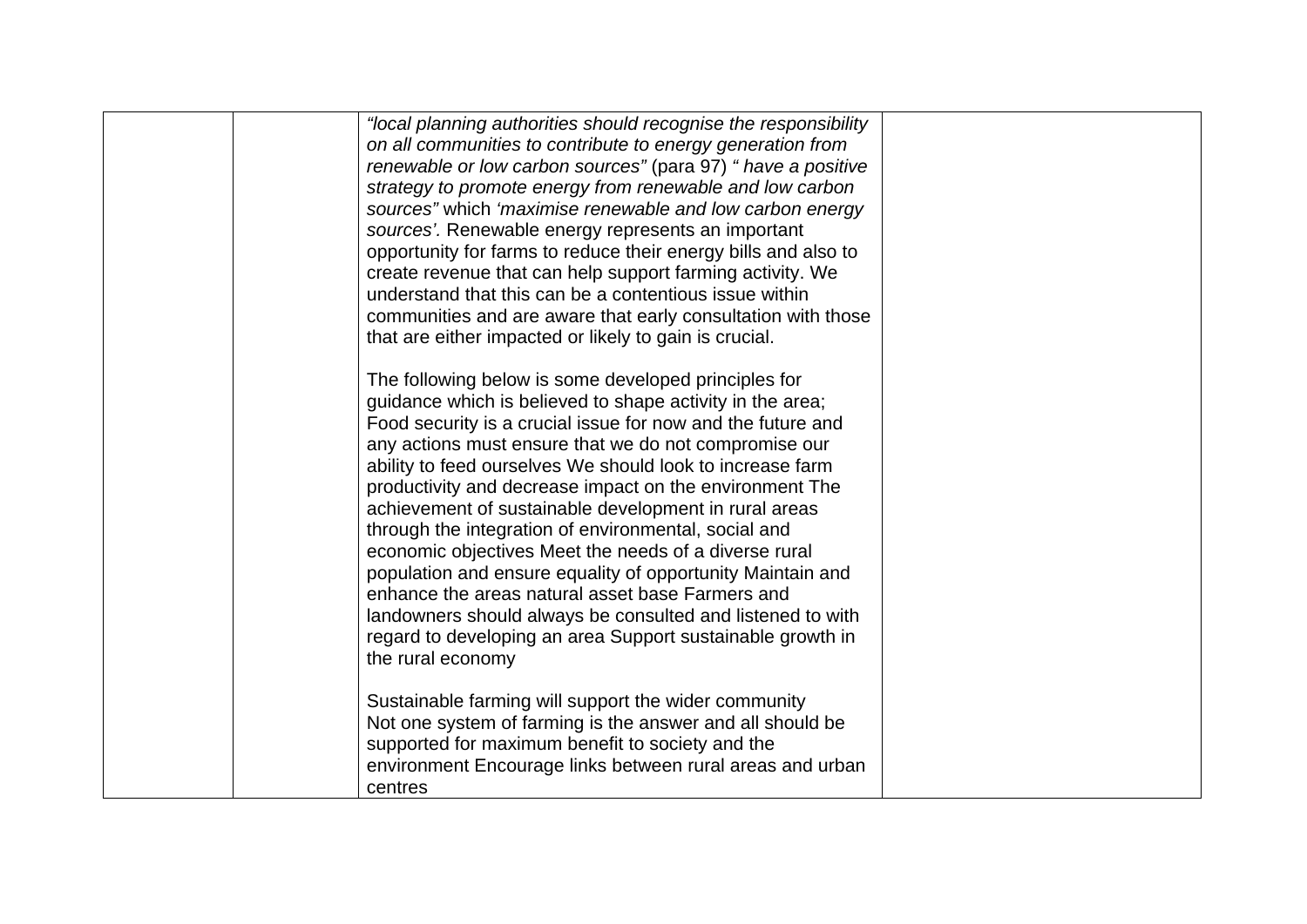| "local planning authorities should recognise the responsibility<br>on all communities to contribute to energy generation from<br>renewable or low carbon sources" (para 97) " have a positive<br>strategy to promote energy from renewable and low carbon<br>sources" which 'maximise renewable and low carbon energy<br>sources'. Renewable energy represents an important<br>opportunity for farms to reduce their energy bills and also to<br>create revenue that can help support farming activity. We<br>understand that this can be a contentious issue within<br>communities and are aware that early consultation with those<br>that are either impacted or likely to gain is crucial.                                                                                                                 |  |
|----------------------------------------------------------------------------------------------------------------------------------------------------------------------------------------------------------------------------------------------------------------------------------------------------------------------------------------------------------------------------------------------------------------------------------------------------------------------------------------------------------------------------------------------------------------------------------------------------------------------------------------------------------------------------------------------------------------------------------------------------------------------------------------------------------------|--|
| The following below is some developed principles for<br>guidance which is believed to shape activity in the area;<br>Food security is a crucial issue for now and the future and<br>any actions must ensure that we do not compromise our<br>ability to feed ourselves We should look to increase farm<br>productivity and decrease impact on the environment The<br>achievement of sustainable development in rural areas<br>through the integration of environmental, social and<br>economic objectives Meet the needs of a diverse rural<br>population and ensure equality of opportunity Maintain and<br>enhance the areas natural asset base Farmers and<br>landowners should always be consulted and listened to with<br>regard to developing an area Support sustainable growth in<br>the rural economy |  |
| Sustainable farming will support the wider community<br>Not one system of farming is the answer and all should be<br>supported for maximum benefit to society and the<br>environment Encourage links between rural areas and urban<br>centres                                                                                                                                                                                                                                                                                                                                                                                                                                                                                                                                                                  |  |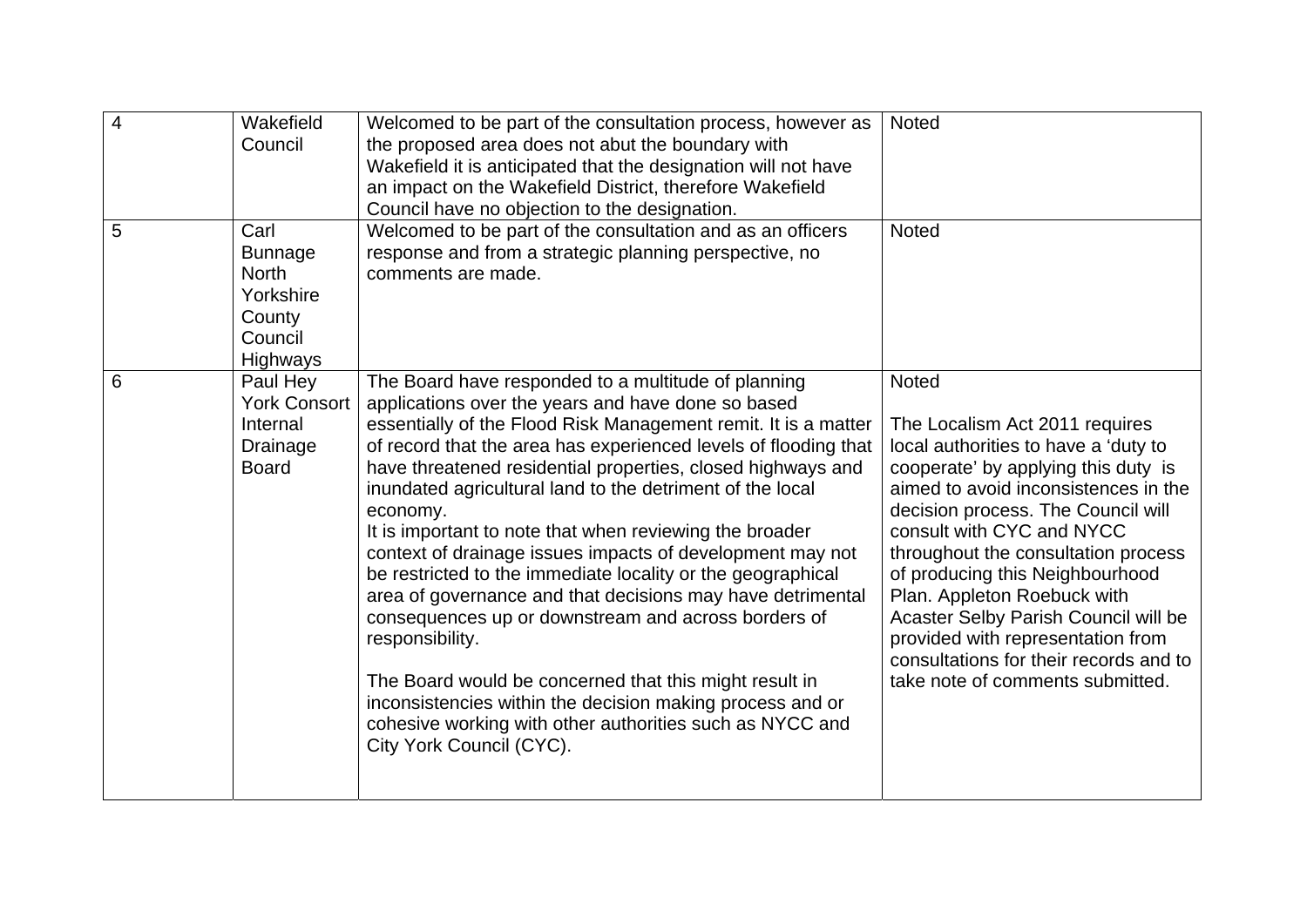| $\overline{4}$ | Wakefield<br>Council                                                                 | Welcomed to be part of the consultation process, however as<br>the proposed area does not abut the boundary with<br>Wakefield it is anticipated that the designation will not have<br>an impact on the Wakefield District, therefore Wakefield<br>Council have no objection to the designation.                                                                                                                                                                                                                                                                                                                                                                                                                                                                                                                                                                                                                                      | <b>Noted</b>                                                                                                                                                                                                                                                                                                                                                                                                                                                                                                 |
|----------------|--------------------------------------------------------------------------------------|--------------------------------------------------------------------------------------------------------------------------------------------------------------------------------------------------------------------------------------------------------------------------------------------------------------------------------------------------------------------------------------------------------------------------------------------------------------------------------------------------------------------------------------------------------------------------------------------------------------------------------------------------------------------------------------------------------------------------------------------------------------------------------------------------------------------------------------------------------------------------------------------------------------------------------------|--------------------------------------------------------------------------------------------------------------------------------------------------------------------------------------------------------------------------------------------------------------------------------------------------------------------------------------------------------------------------------------------------------------------------------------------------------------------------------------------------------------|
| 5              | Carl<br><b>Bunnage</b><br><b>North</b><br>Yorkshire<br>County<br>Council<br>Highways | Welcomed to be part of the consultation and as an officers<br>response and from a strategic planning perspective, no<br>comments are made.                                                                                                                                                                                                                                                                                                                                                                                                                                                                                                                                                                                                                                                                                                                                                                                           | <b>Noted</b>                                                                                                                                                                                                                                                                                                                                                                                                                                                                                                 |
| 6              | Paul Hey<br><b>York Consort</b><br>Internal<br>Drainage<br><b>Board</b>              | The Board have responded to a multitude of planning<br>applications over the years and have done so based<br>essentially of the Flood Risk Management remit. It is a matter<br>of record that the area has experienced levels of flooding that<br>have threatened residential properties, closed highways and<br>inundated agricultural land to the detriment of the local<br>economy.<br>It is important to note that when reviewing the broader<br>context of drainage issues impacts of development may not<br>be restricted to the immediate locality or the geographical<br>area of governance and that decisions may have detrimental<br>consequences up or downstream and across borders of<br>responsibility.<br>The Board would be concerned that this might result in<br>inconsistencies within the decision making process and or<br>cohesive working with other authorities such as NYCC and<br>City York Council (CYC). | <b>Noted</b><br>The Localism Act 2011 requires<br>local authorities to have a 'duty to<br>cooperate' by applying this duty is<br>aimed to avoid inconsistences in the<br>decision process. The Council will<br>consult with CYC and NYCC<br>throughout the consultation process<br>of producing this Neighbourhood<br>Plan. Appleton Roebuck with<br>Acaster Selby Parish Council will be<br>provided with representation from<br>consultations for their records and to<br>take note of comments submitted. |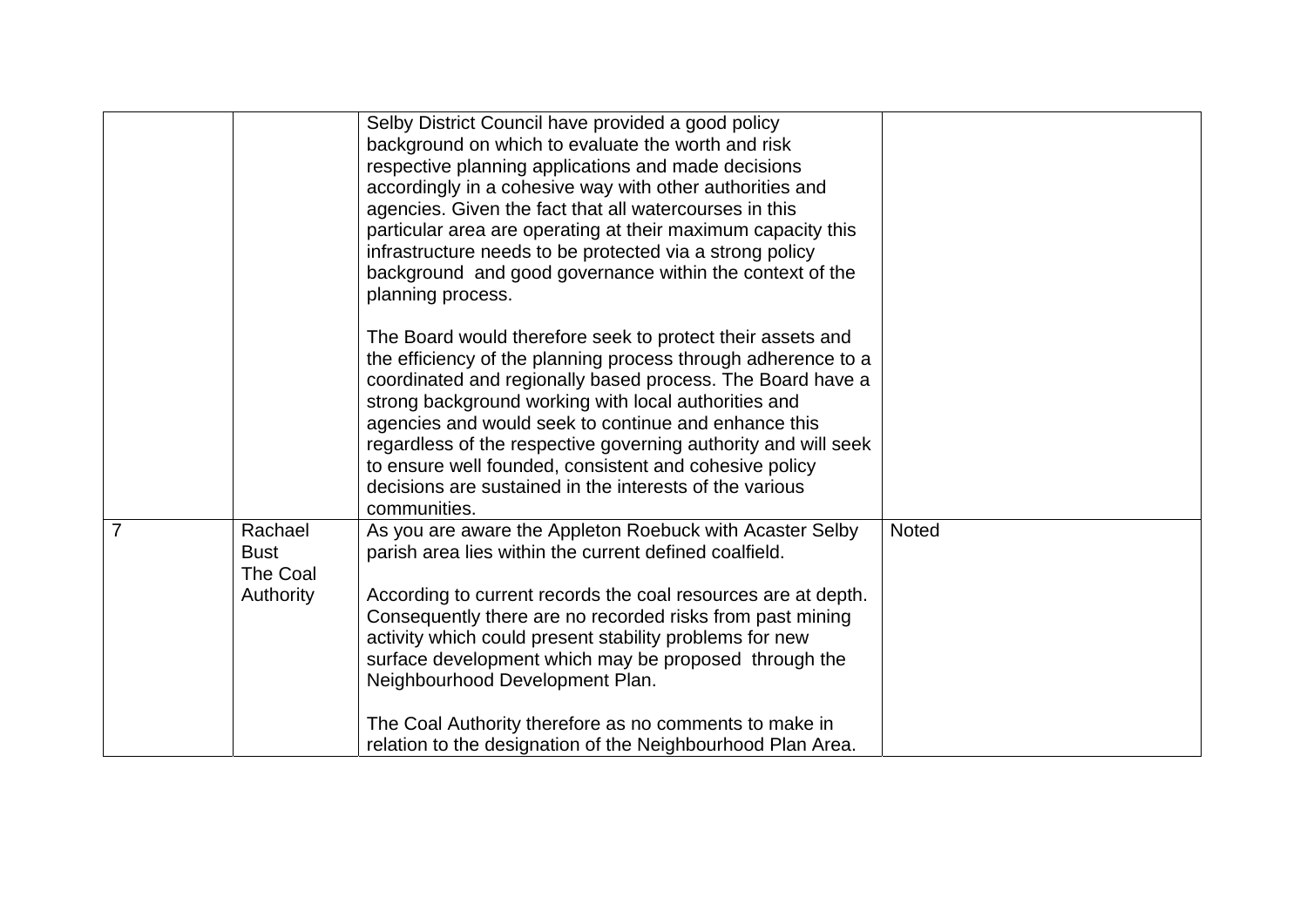|   |                                                        | Selby District Council have provided a good policy<br>background on which to evaluate the worth and risk<br>respective planning applications and made decisions<br>accordingly in a cohesive way with other authorities and<br>agencies. Given the fact that all watercourses in this<br>particular area are operating at their maximum capacity this<br>infrastructure needs to be protected via a strong policy<br>background and good governance within the context of the<br>planning process.<br>The Board would therefore seek to protect their assets and |       |
|---|--------------------------------------------------------|------------------------------------------------------------------------------------------------------------------------------------------------------------------------------------------------------------------------------------------------------------------------------------------------------------------------------------------------------------------------------------------------------------------------------------------------------------------------------------------------------------------------------------------------------------------|-------|
|   |                                                        | the efficiency of the planning process through adherence to a<br>coordinated and regionally based process. The Board have a<br>strong background working with local authorities and<br>agencies and would seek to continue and enhance this<br>regardless of the respective governing authority and will seek<br>to ensure well founded, consistent and cohesive policy<br>decisions are sustained in the interests of the various<br>communities.                                                                                                               |       |
| 7 | Rachael<br><b>Bust</b><br>The Coal<br><b>Authority</b> | As you are aware the Appleton Roebuck with Acaster Selby<br>parish area lies within the current defined coalfield.<br>According to current records the coal resources are at depth.<br>Consequently there are no recorded risks from past mining<br>activity which could present stability problems for new<br>surface development which may be proposed through the<br>Neighbourhood Development Plan.<br>The Coal Authority therefore as no comments to make in                                                                                                | Noted |
|   |                                                        | relation to the designation of the Neighbourhood Plan Area.                                                                                                                                                                                                                                                                                                                                                                                                                                                                                                      |       |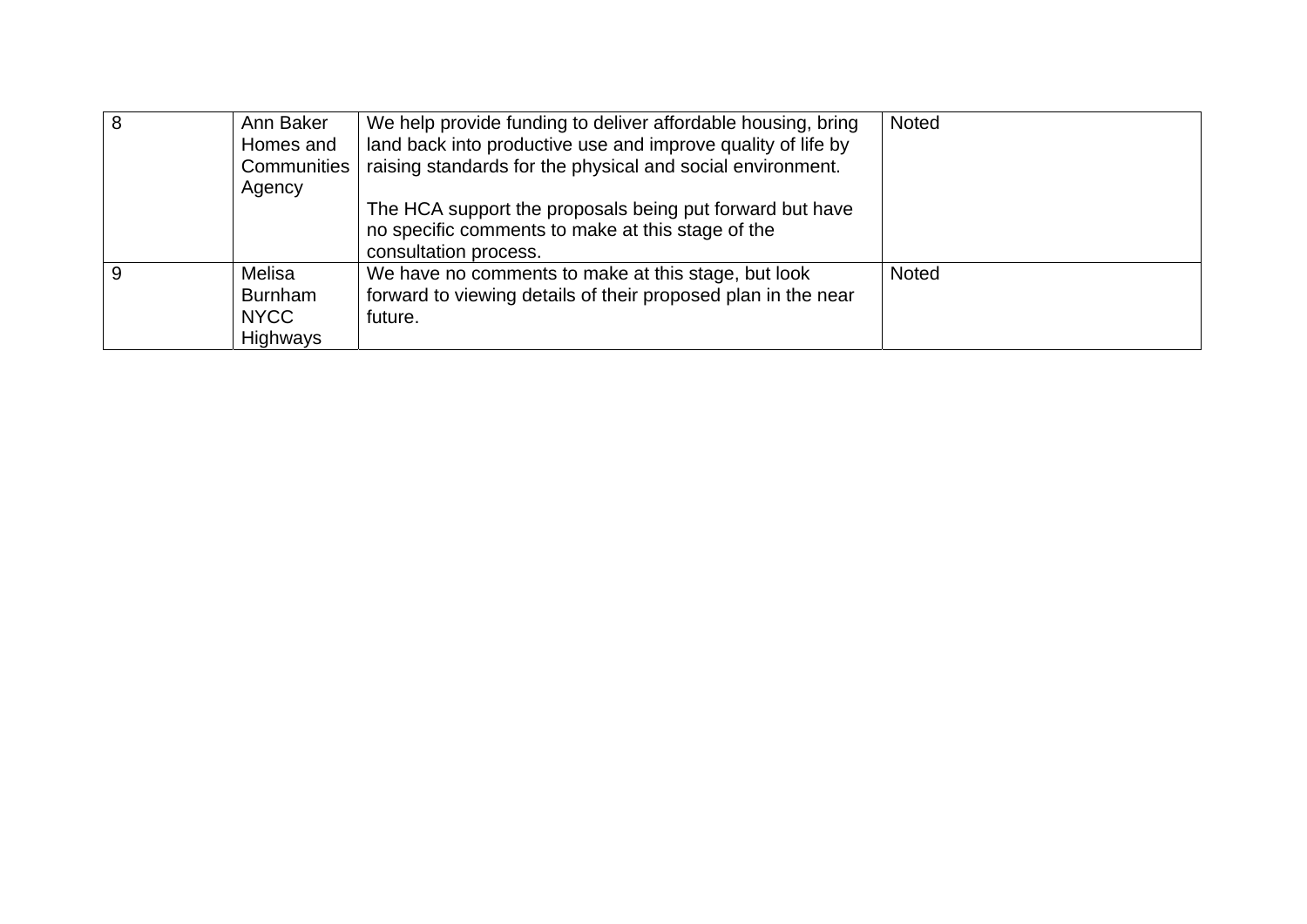| Ann Baker<br>Homes and<br><b>Communities</b><br>Agency     | We help provide funding to deliver affordable housing, bring<br>land back into productive use and improve quality of life by<br>raising standards for the physical and social environment. | <b>Noted</b> |
|------------------------------------------------------------|--------------------------------------------------------------------------------------------------------------------------------------------------------------------------------------------|--------------|
|                                                            | The HCA support the proposals being put forward but have<br>no specific comments to make at this stage of the<br>consultation process.                                                     |              |
| Melisa<br><b>Burnham</b><br><b>NYCC</b><br><b>Highways</b> | We have no comments to make at this stage, but look<br>forward to viewing details of their proposed plan in the near<br>future.                                                            | <b>Noted</b> |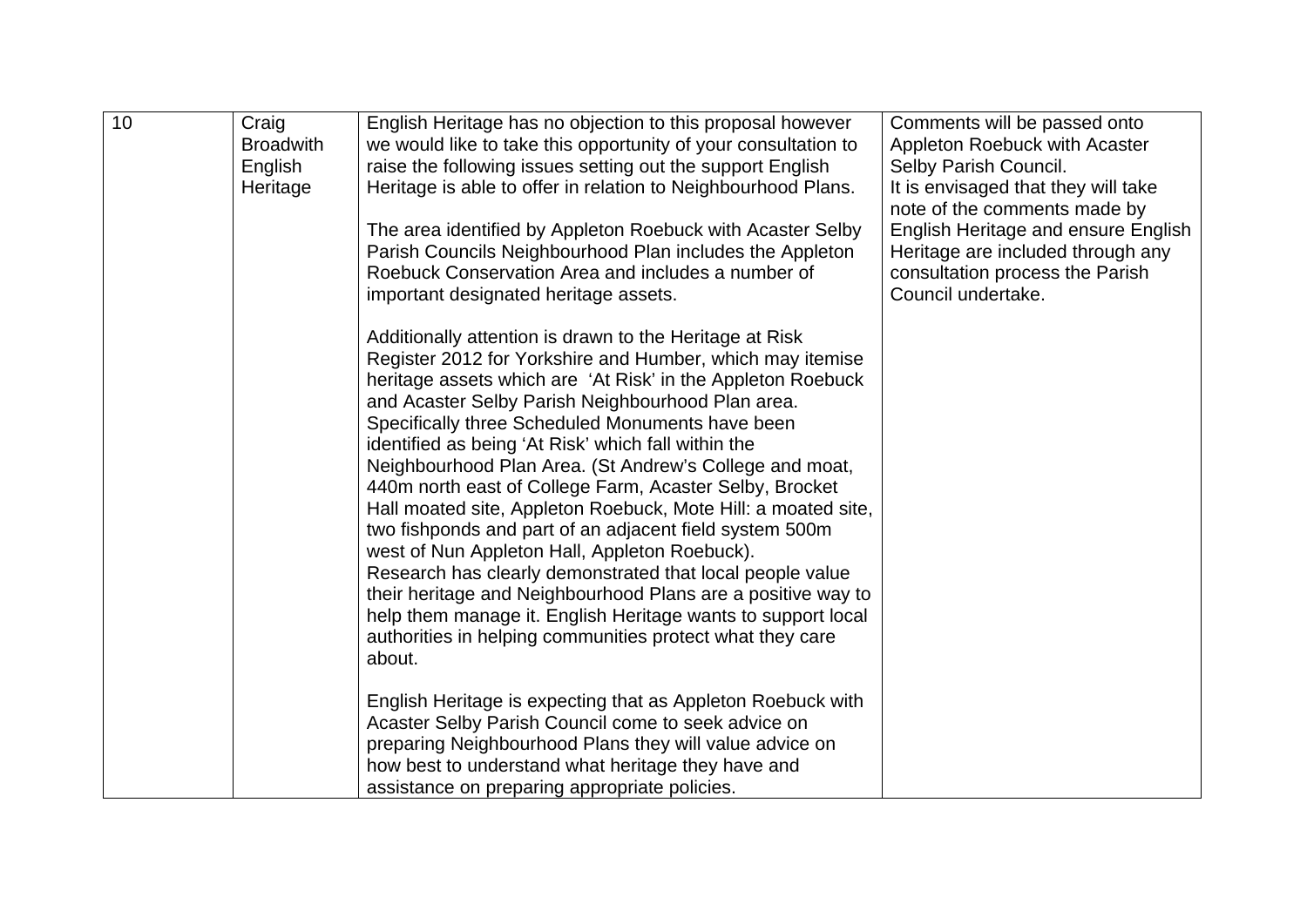| 10 | Craig<br><b>Broadwith</b><br>English<br>Heritage | English Heritage has no objection to this proposal however<br>we would like to take this opportunity of your consultation to<br>raise the following issues setting out the support English<br>Heritage is able to offer in relation to Neighbourhood Plans.<br>The area identified by Appleton Roebuck with Acaster Selby<br>Parish Councils Neighbourhood Plan includes the Appleton                                                                                                                                                                                                                                                                                                                                                                                                                                                                                                                                                                                                                                                                                                                                                           | Comments will be passed onto<br>Appleton Roebuck with Acaster<br>Selby Parish Council.<br>It is envisaged that they will take<br>note of the comments made by<br><b>English Heritage and ensure English</b><br>Heritage are included through any |
|----|--------------------------------------------------|-------------------------------------------------------------------------------------------------------------------------------------------------------------------------------------------------------------------------------------------------------------------------------------------------------------------------------------------------------------------------------------------------------------------------------------------------------------------------------------------------------------------------------------------------------------------------------------------------------------------------------------------------------------------------------------------------------------------------------------------------------------------------------------------------------------------------------------------------------------------------------------------------------------------------------------------------------------------------------------------------------------------------------------------------------------------------------------------------------------------------------------------------|--------------------------------------------------------------------------------------------------------------------------------------------------------------------------------------------------------------------------------------------------|
|    |                                                  | Roebuck Conservation Area and includes a number of<br>important designated heritage assets.<br>Additionally attention is drawn to the Heritage at Risk<br>Register 2012 for Yorkshire and Humber, which may itemise<br>heritage assets which are 'At Risk' in the Appleton Roebuck<br>and Acaster Selby Parish Neighbourhood Plan area.<br>Specifically three Scheduled Monuments have been<br>identified as being 'At Risk' which fall within the<br>Neighbourhood Plan Area. (St Andrew's College and moat,<br>440m north east of College Farm, Acaster Selby, Brocket<br>Hall moated site, Appleton Roebuck, Mote Hill: a moated site,<br>two fishponds and part of an adjacent field system 500m<br>west of Nun Appleton Hall, Appleton Roebuck).<br>Research has clearly demonstrated that local people value<br>their heritage and Neighbourhood Plans are a positive way to<br>help them manage it. English Heritage wants to support local<br>authorities in helping communities protect what they care<br>about.<br>English Heritage is expecting that as Appleton Roebuck with<br>Acaster Selby Parish Council come to seek advice on | consultation process the Parish<br>Council undertake.                                                                                                                                                                                            |
|    |                                                  | preparing Neighbourhood Plans they will value advice on<br>how best to understand what heritage they have and<br>assistance on preparing appropriate policies.                                                                                                                                                                                                                                                                                                                                                                                                                                                                                                                                                                                                                                                                                                                                                                                                                                                                                                                                                                                  |                                                                                                                                                                                                                                                  |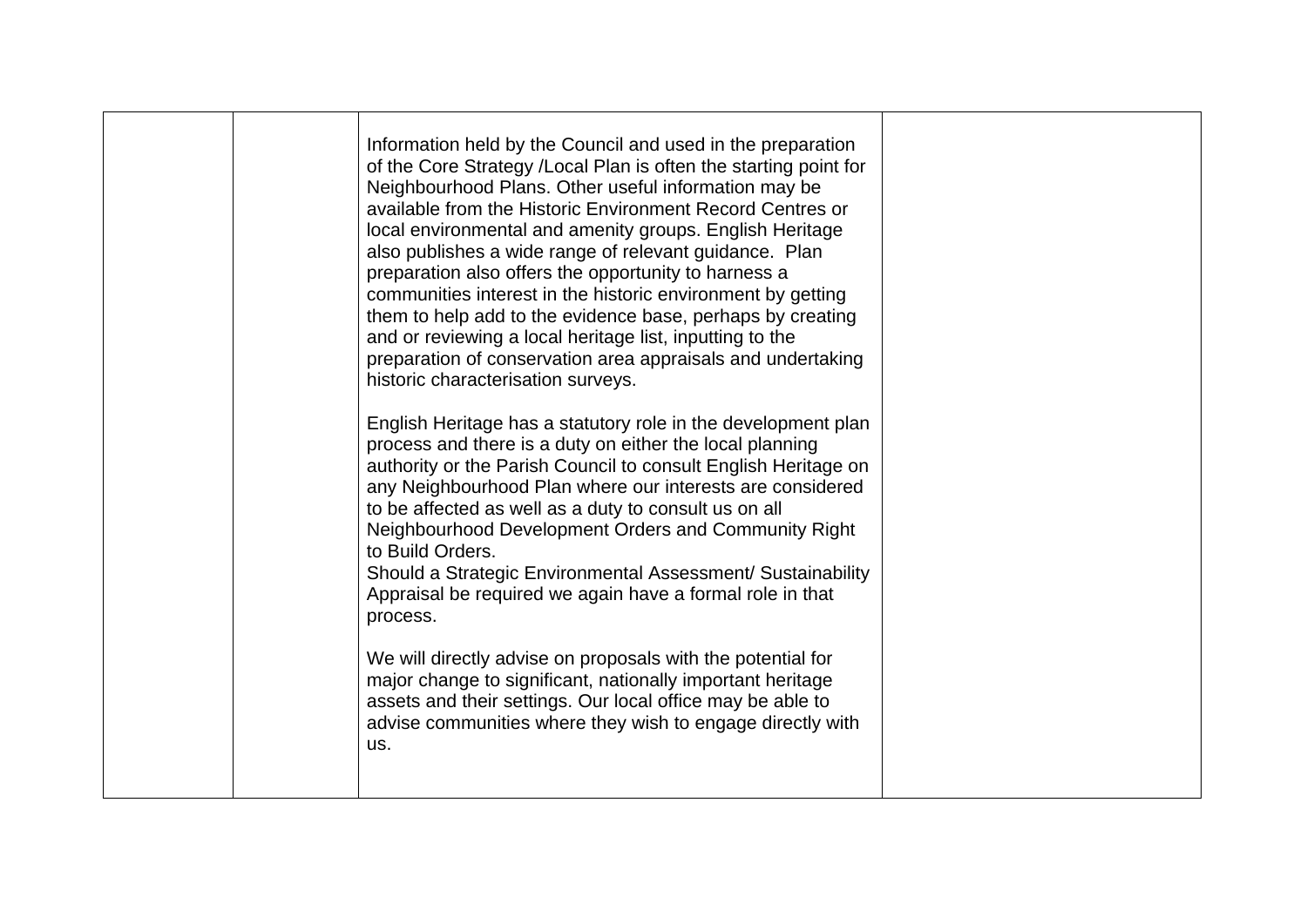|  | Information held by the Council and used in the preparation<br>of the Core Strategy /Local Plan is often the starting point for<br>Neighbourhood Plans. Other useful information may be<br>available from the Historic Environment Record Centres or<br>local environmental and amenity groups. English Heritage<br>also publishes a wide range of relevant guidance. Plan<br>preparation also offers the opportunity to harness a<br>communities interest in the historic environment by getting<br>them to help add to the evidence base, perhaps by creating<br>and or reviewing a local heritage list, inputting to the<br>preparation of conservation area appraisals and undertaking<br>historic characterisation surveys.<br>English Heritage has a statutory role in the development plan<br>process and there is a duty on either the local planning<br>authority or the Parish Council to consult English Heritage on<br>any Neighbourhood Plan where our interests are considered<br>to be affected as well as a duty to consult us on all<br>Neighbourhood Development Orders and Community Right<br>to Build Orders.<br>Should a Strategic Environmental Assessment/ Sustainability<br>Appraisal be required we again have a formal role in that<br>process.<br>We will directly advise on proposals with the potential for<br>major change to significant, nationally important heritage |  |
|--|--------------------------------------------------------------------------------------------------------------------------------------------------------------------------------------------------------------------------------------------------------------------------------------------------------------------------------------------------------------------------------------------------------------------------------------------------------------------------------------------------------------------------------------------------------------------------------------------------------------------------------------------------------------------------------------------------------------------------------------------------------------------------------------------------------------------------------------------------------------------------------------------------------------------------------------------------------------------------------------------------------------------------------------------------------------------------------------------------------------------------------------------------------------------------------------------------------------------------------------------------------------------------------------------------------------------------------------------------------------------------------------------------------|--|
|  | assets and their settings. Our local office may be able to<br>advise communities where they wish to engage directly with<br>us.                                                                                                                                                                                                                                                                                                                                                                                                                                                                                                                                                                                                                                                                                                                                                                                                                                                                                                                                                                                                                                                                                                                                                                                                                                                                        |  |